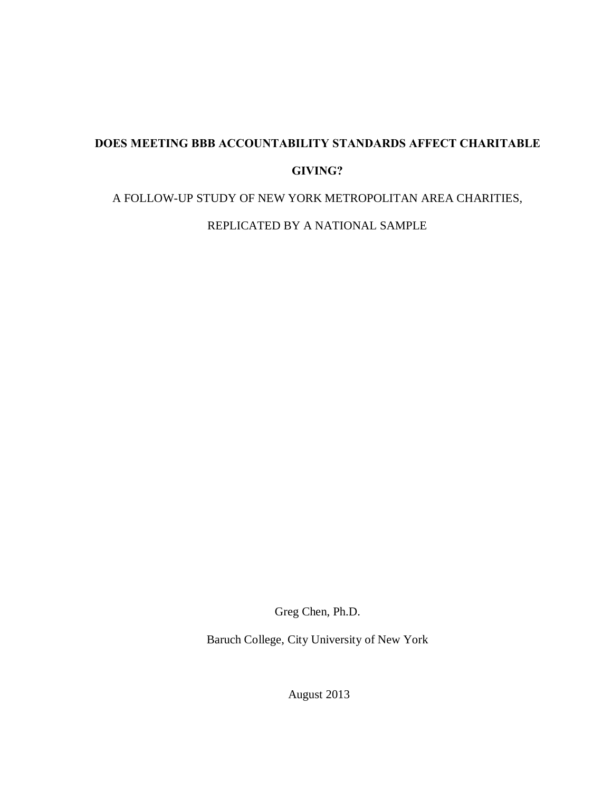# **DOES MEETING BBB ACCOUNTABILITY STANDARDS AFFECT CHARITABLE GIVING?**

A FOLLOW-UP STUDY OF NEW YORK METROPOLITAN AREA CHARITIES,

REPLICATED BY A NATIONAL SAMPLE

Greg Chen, Ph.D.

Baruch College, City University of New York

August 2013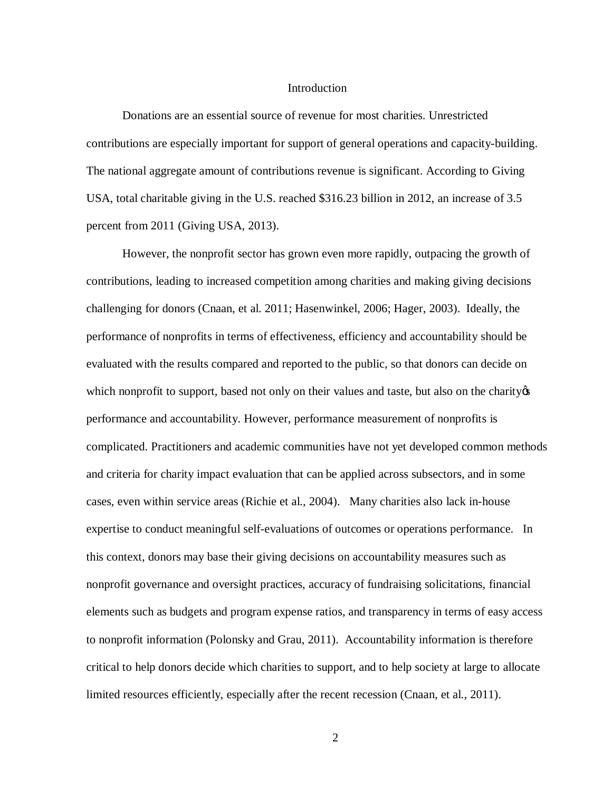## Introduction

Donations are an essential source of revenue for most charities. Unrestricted contributions are especially important for support of general operations and capacity-building. The national aggregate amount of contributions revenue is significant. According to Giving USA, total charitable giving in the U.S. reached \$316.23 billion in 2012, an increase of 3.5 percent from 2011 (Giving USA, 2013).

However, the nonprofit sector has grown even more rapidly, outpacing the growth of contributions, leading to increased competition among charities and making giving decisions challenging for donors (Cnaan, et al. 2011; Hasenwinkel, 2006; Hager, 2003). Ideally, the performance of nonprofits in terms of effectiveness, efficiency and accountability should be evaluated with the results compared and reported to the public, so that donors can decide on which nonprofit to support, based not only on their values and taste, but also on the charity  $\alpha$ performance and accountability. However, performance measurement of nonprofits is complicated. Practitioners and academic communities have not yet developed common methods and criteria for charity impact evaluation that can be applied across subsectors, and in some cases, even within service areas (Richie et al., 2004). Many charities also lack in-house expertise to conduct meaningful self-evaluations of outcomes or operations performance. In this context, donors may base their giving decisions on accountability measures such as nonprofit governance and oversight practices, accuracy of fundraising solicitations, financial elements such as budgets and program expense ratios, and transparency in terms of easy access to nonprofit information (Polonsky and Grau, 2011). Accountability information is therefore critical to help donors decide which charities to support, and to help society at large to allocate limited resources efficiently, especially after the recent recession (Cnaan, et al., 2011).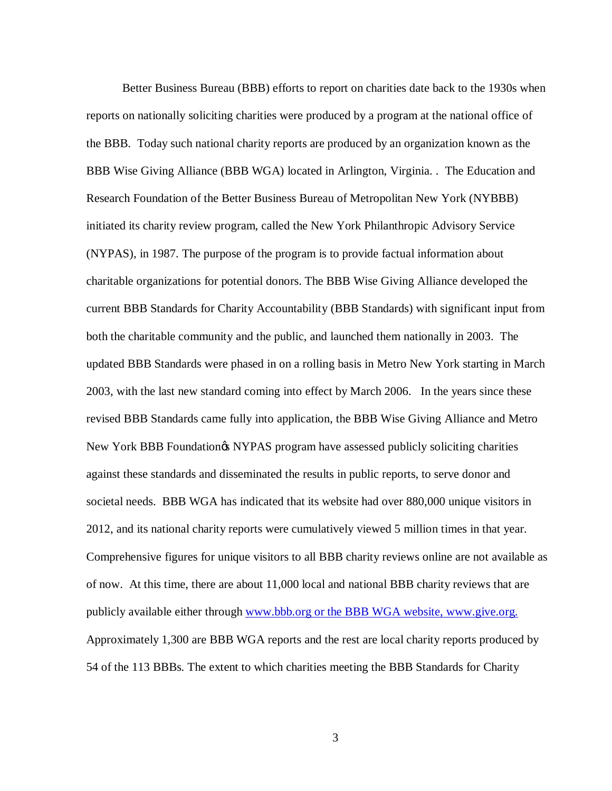Better Business Bureau (BBB) efforts to report on charities date back to the 1930s when reports on nationally soliciting charities were produced by a program at the national office of the BBB. Today such national charity reports are produced by an organization known as the BBB Wise Giving Alliance (BBB WGA) located in Arlington, Virginia. . The Education and Research Foundation of the Better Business Bureau of Metropolitan New York (NYBBB) initiated its charity review program, called the New York Philanthropic Advisory Service (NYPAS), in 1987. The purpose of the program is to provide factual information about charitable organizations for potential donors. The BBB Wise Giving Alliance developed the current BBB Standards for Charity Accountability (BBB Standards) with significant input from both the charitable community and the public, and launched them nationally in 2003. The updated BBB Standards were phased in on a rolling basis in Metro New York starting in March 2003, with the last new standard coming into effect by March 2006. In the years since these revised BBB Standards came fully into application, the BBB Wise Giving Alliance and Metro New York BBB Foundation & NYPAS program have assessed publicly soliciting charities against these standards and disseminated the results in public reports, to serve donor and societal needs. BBB WGA has indicated that its website had over 880,000 unique visitors in 2012, and its national charity reports were cumulatively viewed 5 million times in that year. Comprehensive figures for unique visitors to all BBB charity reviews online are not available as of now. At this time, there are about 11,000 local and national BBB charity reviews that are publicly available either through [www.bbb.org](http://www.bbb.org/) or the BBB WGA website, [www.give.org.](http://www.give.org/) Approximately 1,300 are BBB WGA reports and the rest are local charity reports produced by 54 of the 113 BBBs. The extent to which charities meeting the BBB Standards for Charity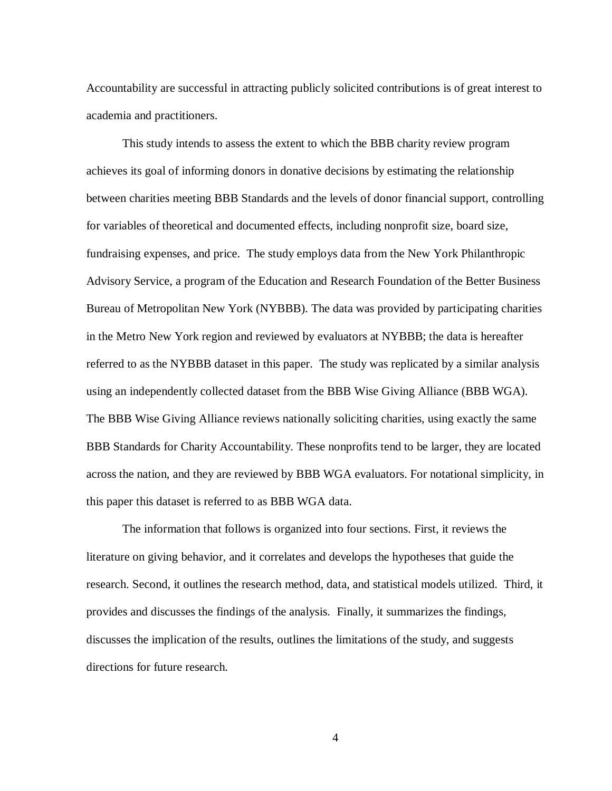Accountability are successful in attracting publicly solicited contributions is of great interest to academia and practitioners.

This study intends to assess the extent to which the BBB charity review program achieves its goal of informing donors in donative decisions by estimating the relationship between charities meeting BBB Standards and the levels of donor financial support, controlling for variables of theoretical and documented effects, including nonprofit size, board size, fundraising expenses, and price. The study employs data from the New York Philanthropic Advisory Service, a program of the Education and Research Foundation of the Better Business Bureau of Metropolitan New York (NYBBB). The data was provided by participating charities in the Metro New York region and reviewed by evaluators at NYBBB; the data is hereafter referred to as the NYBBB dataset in this paper. The study was replicated by a similar analysis using an independently collected dataset from the BBB Wise Giving Alliance (BBB WGA). The BBB Wise Giving Alliance reviews nationally soliciting charities, using exactly the same BBB Standards for Charity Accountability. These nonprofits tend to be larger, they are located across the nation, and they are reviewed by BBB WGA evaluators. For notational simplicity, in this paper this dataset is referred to as BBB WGA data.

The information that follows is organized into four sections. First, it reviews the literature on giving behavior, and it correlates and develops the hypotheses that guide the research. Second, it outlines the research method, data, and statistical models utilized. Third, it provides and discusses the findings of the analysis. Finally, it summarizes the findings, discusses the implication of the results, outlines the limitations of the study, and suggests directions for future research.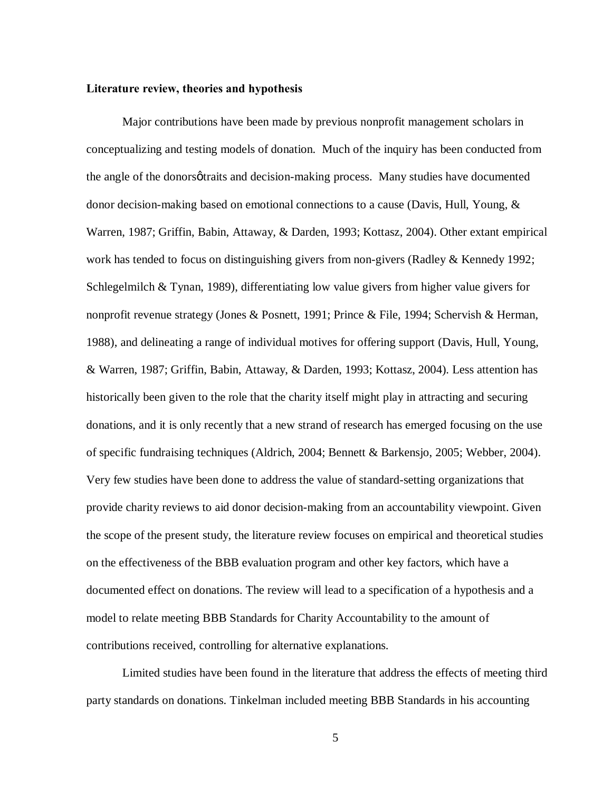## **Literature review, theories and hypothesis**

Major contributions have been made by previous nonprofit management scholars in conceptualizing and testing models of donation. Much of the inquiry has been conducted from the angle of the donorsøtraits and decision-making process. Many studies have documented donor decision-making based on emotional connections to a cause (Davis, Hull, Young, & Warren, 1987; Griffin, Babin, Attaway, & Darden, 1993; Kottasz, 2004). Other extant empirical work has tended to focus on distinguishing givers from non-givers (Radley & Kennedy 1992; Schlegelmilch & Tynan, 1989), differentiating low value givers from higher value givers for nonprofit revenue strategy (Jones & Posnett, 1991; Prince & File, 1994; Schervish & Herman, 1988), and delineating a range of individual motives for offering support (Davis, Hull, Young, & Warren, 1987; Griffin, Babin, Attaway, & Darden, 1993; Kottasz, 2004). Less attention has historically been given to the role that the charity itself might play in attracting and securing donations, and it is only recently that a new strand of research has emerged focusing on the use of specific fundraising techniques (Aldrich, 2004; Bennett & Barkensjo, 2005; Webber, 2004). Very few studies have been done to address the value of standard-setting organizations that provide charity reviews to aid donor decision-making from an accountability viewpoint. Given the scope of the present study, the literature review focuses on empirical and theoretical studies on the effectiveness of the BBB evaluation program and other key factors, which have a documented effect on donations. The review will lead to a specification of a hypothesis and a model to relate meeting BBB Standards for Charity Accountability to the amount of contributions received, controlling for alternative explanations.

Limited studies have been found in the literature that address the effects of meeting third party standards on donations. Tinkelman included meeting BBB Standards in his accounting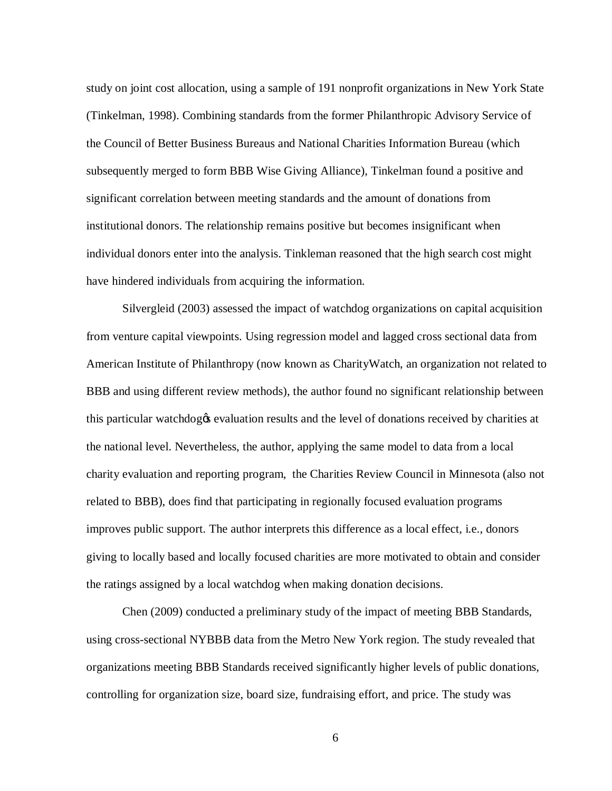study on joint cost allocation, using a sample of 191 nonprofit organizations in New York State (Tinkelman, 1998). Combining standards from the former Philanthropic Advisory Service of the Council of Better Business Bureaus and National Charities Information Bureau (which subsequently merged to form BBB Wise Giving Alliance), Tinkelman found a positive and significant correlation between meeting standards and the amount of donations from institutional donors. The relationship remains positive but becomes insignificant when individual donors enter into the analysis. Tinkleman reasoned that the high search cost might have hindered individuals from acquiring the information.

Silvergleid (2003) assessed the impact of watchdog organizations on capital acquisition from venture capital viewpoints. Using regression model and lagged cross sectional data from American Institute of Philanthropy (now known as CharityWatch, an organization not related to BBB and using different review methods), the author found no significant relationship between this particular watchdogos evaluation results and the level of donations received by charities at the national level. Nevertheless, the author, applying the same model to data from a local charity evaluation and reporting program, the Charities Review Council in Minnesota (also not related to BBB), does find that participating in regionally focused evaluation programs improves public support. The author interprets this difference as a local effect, i.e., donors giving to locally based and locally focused charities are more motivated to obtain and consider the ratings assigned by a local watchdog when making donation decisions.

Chen (2009) conducted a preliminary study of the impact of meeting BBB Standards, using cross-sectional NYBBB data from the Metro New York region. The study revealed that organizations meeting BBB Standards received significantly higher levels of public donations, controlling for organization size, board size, fundraising effort, and price. The study was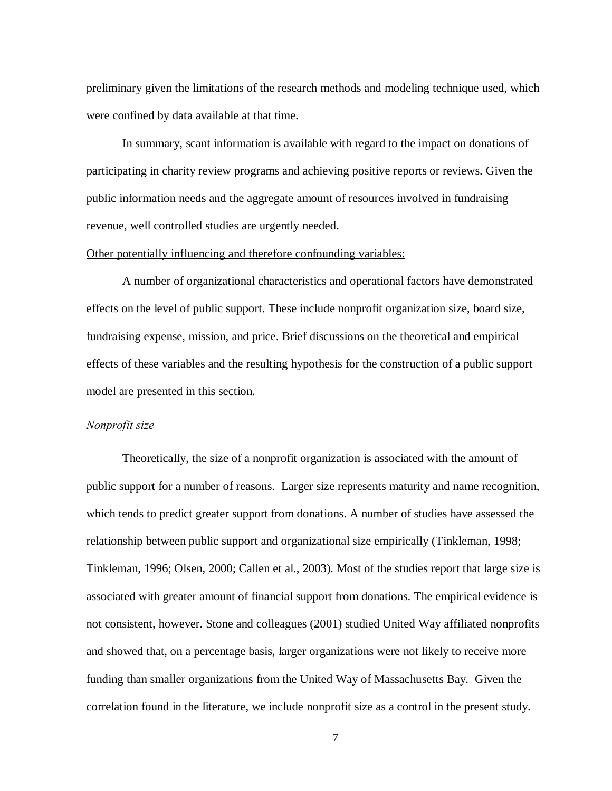preliminary given the limitations of the research methods and modeling technique used, which were confined by data available at that time.

In summary, scant information is available with regard to the impact on donations of participating in charity review programs and achieving positive reports or reviews. Given the public information needs and the aggregate amount of resources involved in fundraising revenue, well controlled studies are urgently needed.

## Other potentially influencing and therefore confounding variables:

A number of organizational characteristics and operational factors have demonstrated effects on the level of public support. These include nonprofit organization size, board size, fundraising expense, mission, and price. Brief discussions on the theoretical and empirical effects of these variables and the resulting hypothesis for the construction of a public support model are presented in this section.

## *Nonprofit size*

Theoretically, the size of a nonprofit organization is associated with the amount of public support for a number of reasons. Larger size represents maturity and name recognition, which tends to predict greater support from donations. A number of studies have assessed the relationship between public support and organizational size empirically (Tinkleman, 1998; Tinkleman, 1996; Olsen, 2000; Callen et al., 2003). Most of the studies report that large size is associated with greater amount of financial support from donations. The empirical evidence is not consistent, however. Stone and colleagues (2001) studied United Way affiliated nonprofits and showed that, on a percentage basis, larger organizations were not likely to receive more funding than smaller organizations from the United Way of Massachusetts Bay. Given the correlation found in the literature, we include nonprofit size as a control in the present study.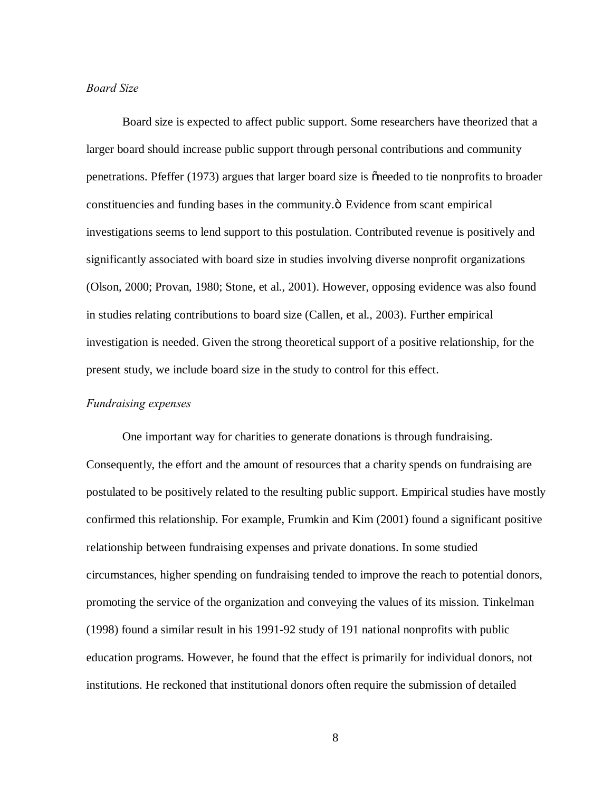## *Board Size*

Board size is expected to affect public support. Some researchers have theorized that a larger board should increase public support through personal contributions and community penetrations. Pfeffer (1973) argues that larger board size is  $\tilde{c}$  needed to tie nonprofits to broader constituencies and funding bases in the community. $\ddot{o}$  Evidence from scant empirical investigations seems to lend support to this postulation. Contributed revenue is positively and significantly associated with board size in studies involving diverse nonprofit organizations (Olson, 2000; Provan, 1980; Stone, et al., 2001). However, opposing evidence was also found in studies relating contributions to board size (Callen, et al., 2003). Further empirical investigation is needed. Given the strong theoretical support of a positive relationship, for the present study, we include board size in the study to control for this effect.

## *Fundraising expenses*

One important way for charities to generate donations is through fundraising. Consequently, the effort and the amount of resources that a charity spends on fundraising are postulated to be positively related to the resulting public support. Empirical studies have mostly confirmed this relationship. For example, Frumkin and Kim (2001) found a significant positive relationship between fundraising expenses and private donations. In some studied circumstances, higher spending on fundraising tended to improve the reach to potential donors, promoting the service of the organization and conveying the values of its mission. Tinkelman (1998) found a similar result in his 1991-92 study of 191 national nonprofits with public education programs. However, he found that the effect is primarily for individual donors, not institutions. He reckoned that institutional donors often require the submission of detailed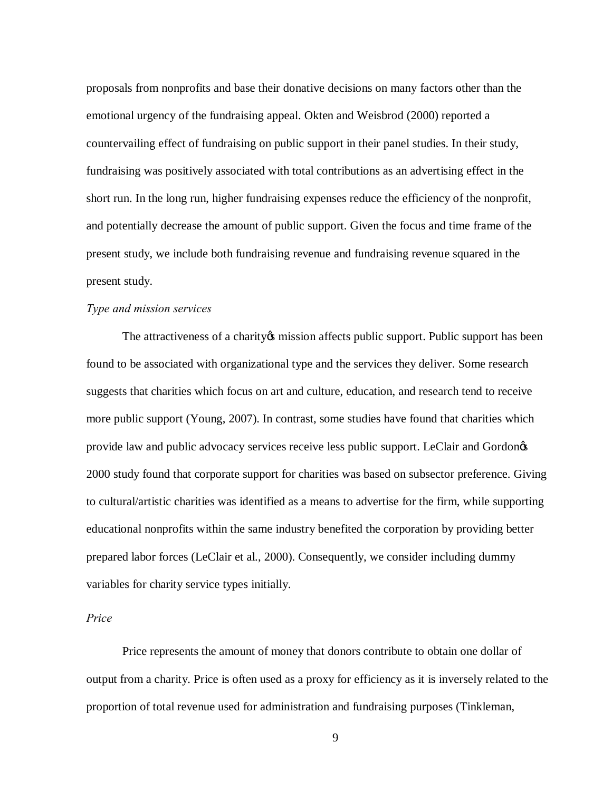proposals from nonprofits and base their donative decisions on many factors other than the emotional urgency of the fundraising appeal. Okten and Weisbrod (2000) reported a countervailing effect of fundraising on public support in their panel studies. In their study, fundraising was positively associated with total contributions as an advertising effect in the short run. In the long run, higher fundraising expenses reduce the efficiency of the nonprofit, and potentially decrease the amount of public support. Given the focus and time frame of the present study, we include both fundraising revenue and fundraising revenue squared in the present study.

## *Type and mission services*

The attractiveness of a charity ps mission affects public support. Public support has been found to be associated with organizational type and the services they deliver. Some research suggests that charities which focus on art and culture, education, and research tend to receive more public support (Young, 2007). In contrast, some studies have found that charities which provide law and public advocacy services receive less public support. LeClair and Gordongs 2000 study found that corporate support for charities was based on subsector preference. Giving to cultural/artistic charities was identified as a means to advertise for the firm, while supporting educational nonprofits within the same industry benefited the corporation by providing better prepared labor forces (LeClair et al., 2000). Consequently, we consider including dummy variables for charity service types initially.

#### *Price*

Price represents the amount of money that donors contribute to obtain one dollar of output from a charity. Price is often used as a proxy for efficiency as it is inversely related to the proportion of total revenue used for administration and fundraising purposes (Tinkleman,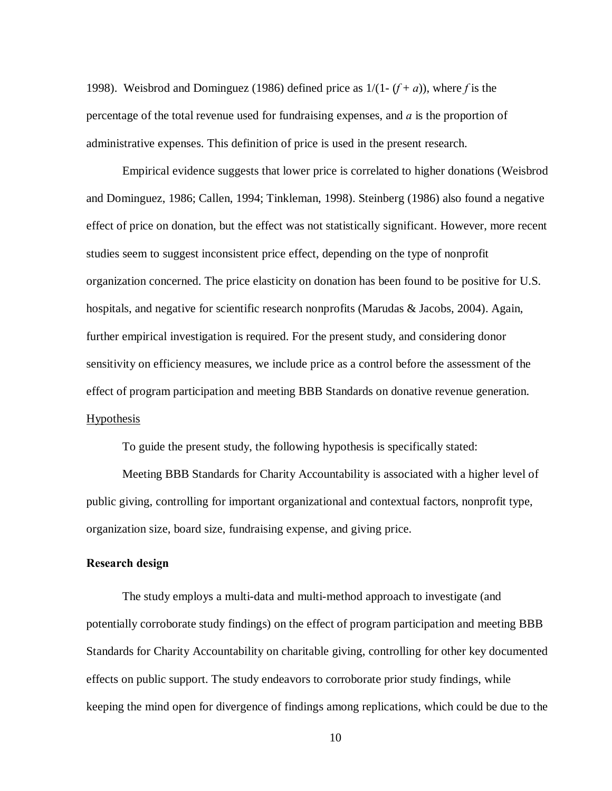1998). Weisbrod and Dominguez (1986) defined price as  $1/(1-(f+a))$ , where f is the percentage of the total revenue used for fundraising expenses, and *a* is the proportion of administrative expenses. This definition of price is used in the present research.

Empirical evidence suggests that lower price is correlated to higher donations (Weisbrod and Dominguez, 1986; Callen, 1994; Tinkleman, 1998). Steinberg (1986) also found a negative effect of price on donation, but the effect was not statistically significant. However, more recent studies seem to suggest inconsistent price effect, depending on the type of nonprofit organization concerned. The price elasticity on donation has been found to be positive for U.S. hospitals, and negative for scientific research nonprofits (Marudas & Jacobs, 2004). Again, further empirical investigation is required. For the present study, and considering donor sensitivity on efficiency measures, we include price as a control before the assessment of the effect of program participation and meeting BBB Standards on donative revenue generation. Hypothesis

To guide the present study, the following hypothesis is specifically stated:

Meeting BBB Standards for Charity Accountability is associated with a higher level of public giving, controlling for important organizational and contextual factors, nonprofit type, organization size, board size, fundraising expense, and giving price.

## **Research design**

The study employs a multi-data and multi-method approach to investigate (and potentially corroborate study findings) on the effect of program participation and meeting BBB Standards for Charity Accountability on charitable giving, controlling for other key documented effects on public support. The study endeavors to corroborate prior study findings, while keeping the mind open for divergence of findings among replications, which could be due to the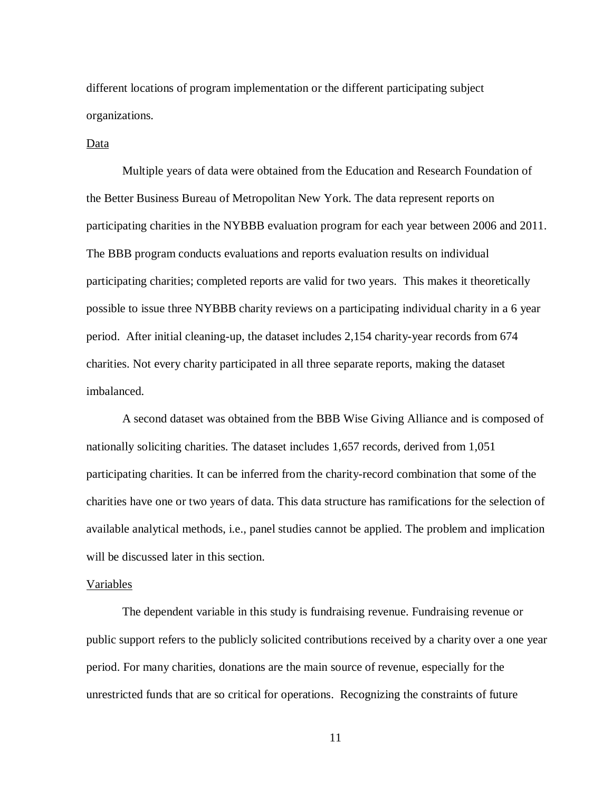different locations of program implementation or the different participating subject organizations.

## Data

Multiple years of data were obtained from the Education and Research Foundation of the Better Business Bureau of Metropolitan New York. The data represent reports on participating charities in the NYBBB evaluation program for each year between 2006 and 2011. The BBB program conducts evaluations and reports evaluation results on individual participating charities; completed reports are valid for two years. This makes it theoretically possible to issue three NYBBB charity reviews on a participating individual charity in a 6 year period. After initial cleaning-up, the dataset includes 2,154 charity-year records from 674 charities. Not every charity participated in all three separate reports, making the dataset imbalanced.

A second dataset was obtained from the BBB Wise Giving Alliance and is composed of nationally soliciting charities. The dataset includes 1,657 records, derived from 1,051 participating charities. It can be inferred from the charity-record combination that some of the charities have one or two years of data. This data structure has ramifications for the selection of available analytical methods, i.e., panel studies cannot be applied. The problem and implication will be discussed later in this section.

#### Variables

The dependent variable in this study is fundraising revenue. Fundraising revenue or public support refers to the publicly solicited contributions received by a charity over a one year period. For many charities, donations are the main source of revenue, especially for the unrestricted funds that are so critical for operations. Recognizing the constraints of future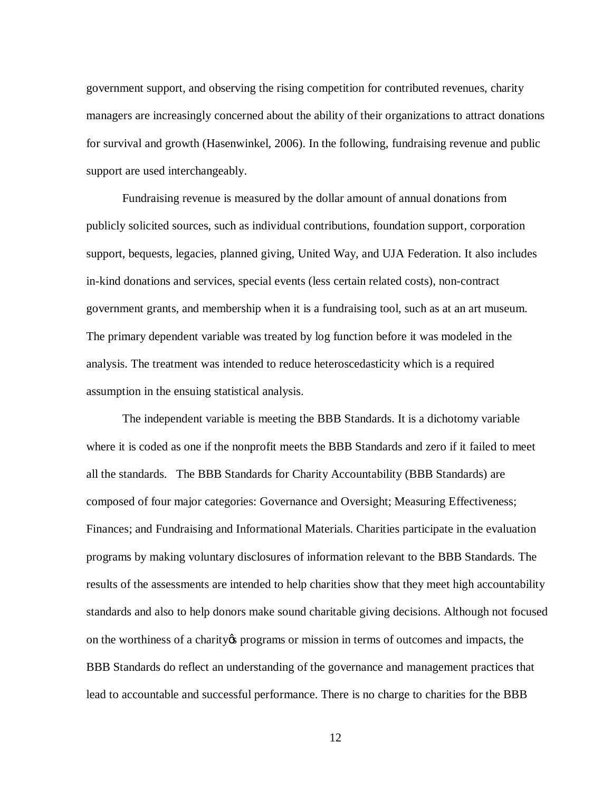government support, and observing the rising competition for contributed revenues, charity managers are increasingly concerned about the ability of their organizations to attract donations for survival and growth (Hasenwinkel, 2006). In the following, fundraising revenue and public support are used interchangeably.

Fundraising revenue is measured by the dollar amount of annual donations from publicly solicited sources, such as individual contributions, foundation support, corporation support, bequests, legacies, planned giving, United Way, and UJA Federation. It also includes in-kind donations and services, special events (less certain related costs), non-contract government grants, and membership when it is a fundraising tool, such as at an art museum. The primary dependent variable was treated by log function before it was modeled in the analysis. The treatment was intended to reduce heteroscedasticity which is a required assumption in the ensuing statistical analysis.

The independent variable is meeting the BBB Standards. It is a dichotomy variable where it is coded as one if the nonprofit meets the BBB Standards and zero if it failed to meet all the standards. The BBB Standards for Charity Accountability (BBB Standards) are composed of four major categories: Governance and Oversight; Measuring Effectiveness; Finances; and Fundraising and Informational Materials. Charities participate in the evaluation programs by making voluntary disclosures of information relevant to the BBB Standards. The results of the assessments are intended to help charities show that they meet high accountability standards and also to help donors make sound charitable giving decisions. Although not focused on the worthiness of a charity to programs or mission in terms of outcomes and impacts, the BBB Standards do reflect an understanding of the governance and management practices that lead to accountable and successful performance. There is no charge to charities for the BBB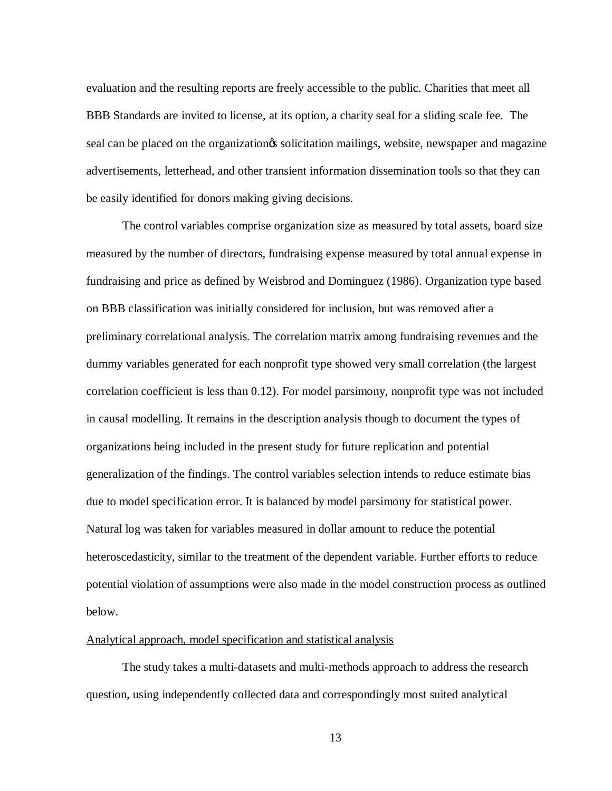evaluation and the resulting reports are freely accessible to the public. Charities that meet all BBB Standards are invited to license, at its option, a charity seal for a sliding scale fee. The seal can be placed on the organization is solicitation mailings, website, newspaper and magazine advertisements, letterhead, and other transient information dissemination tools so that they can be easily identified for donors making giving decisions.

The control variables comprise organization size as measured by total assets, board size measured by the number of directors, fundraising expense measured by total annual expense in fundraising and price as defined by Weisbrod and Dominguez (1986). Organization type based on BBB classification was initially considered for inclusion, but was removed after a preliminary correlational analysis. The correlation matrix among fundraising revenues and the dummy variables generated for each nonprofit type showed very small correlation (the largest correlation coefficient is less than 0.12). For model parsimony, nonprofit type was not included in causal modelling. It remains in the description analysis though to document the types of organizations being included in the present study for future replication and potential generalization of the findings. The control variables selection intends to reduce estimate bias due to model specification error. It is balanced by model parsimony for statistical power. Natural log was taken for variables measured in dollar amount to reduce the potential heteroscedasticity, similar to the treatment of the dependent variable. Further efforts to reduce potential violation of assumptions were also made in the model construction process as outlined below.

## Analytical approach, model specification and statistical analysis

The study takes a multi-datasets and multi-methods approach to address the research question, using independently collected data and correspondingly most suited analytical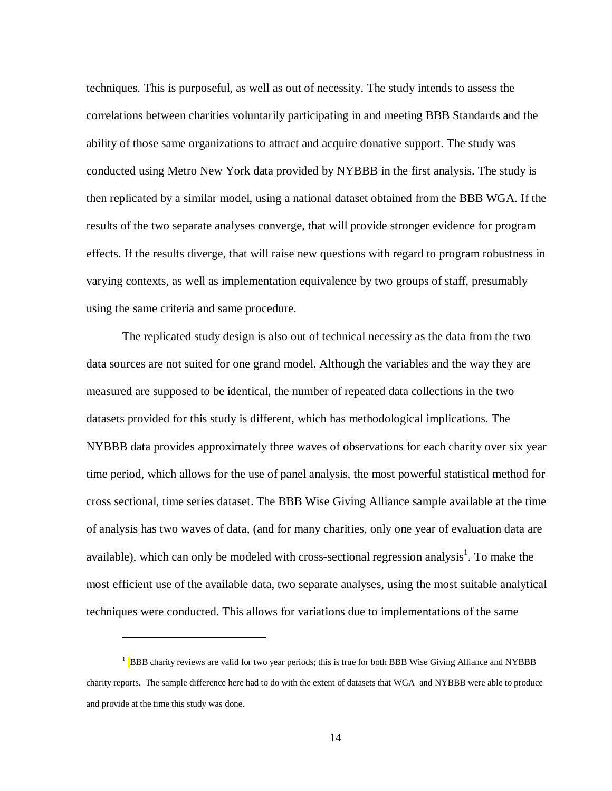techniques. This is purposeful, as well as out of necessity. The study intends to assess the correlations between charities voluntarily participating in and meeting BBB Standards and the ability of those same organizations to attract and acquire donative support. The study was conducted using Metro New York data provided by NYBBB in the first analysis. The study is then replicated by a similar model, using a national dataset obtained from the BBB WGA. If the results of the two separate analyses converge, that will provide stronger evidence for program effects. If the results diverge, that will raise new questions with regard to program robustness in varying contexts, as well as implementation equivalence by two groups of staff, presumably using the same criteria and same procedure.

The replicated study design is also out of technical necessity as the data from the two data sources are not suited for one grand model. Although the variables and the way they are measured are supposed to be identical, the number of repeated data collections in the two datasets provided for this study is different, which has methodological implications. The NYBBB data provides approximately three waves of observations for each charity over six year time period, which allows for the use of panel analysis, the most powerful statistical method for cross sectional, time series dataset. The BBB Wise Giving Alliance sample available at the time of analysis has two waves of data, (and for many charities, only one year of evaluation data are available), which can only be modeled with cross-sectional regression analysis<sup>1</sup>. To make the most efficient use of the available data, two separate analyses, using the most suitable analytical techniques were conducted. This allows for variations due to implementations of the same

 $\overline{a}$ 

<sup>&</sup>lt;sup>1</sup> BBB charity reviews are valid for two year periods; this is true for both BBB Wise Giving Alliance and NYBBB charity reports. The sample difference here had to do with the extent of datasets that WGA and NYBBB were able to produce and provide at the time this study was done.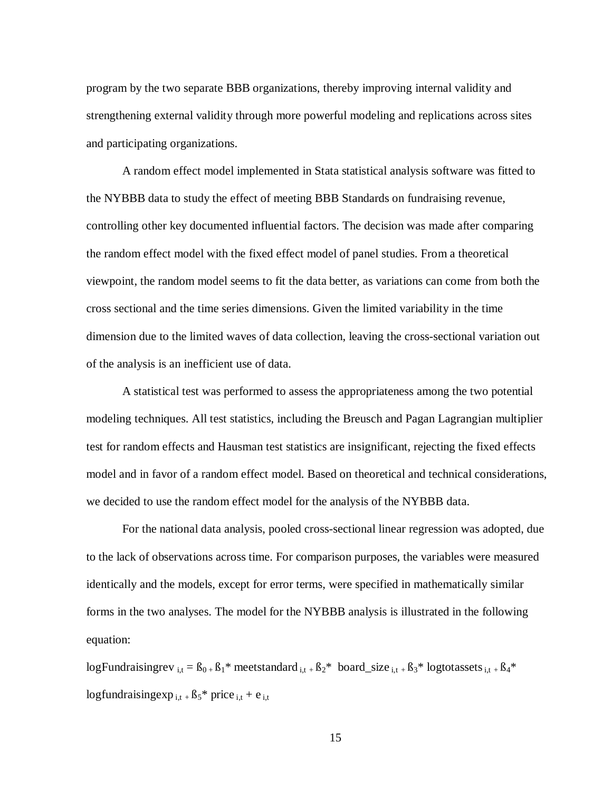program by the two separate BBB organizations, thereby improving internal validity and strengthening external validity through more powerful modeling and replications across sites and participating organizations.

A random effect model implemented in Stata statistical analysis software was fitted to the NYBBB data to study the effect of meeting BBB Standards on fundraising revenue, controlling other key documented influential factors. The decision was made after comparing the random effect model with the fixed effect model of panel studies. From a theoretical viewpoint, the random model seems to fit the data better, as variations can come from both the cross sectional and the time series dimensions. Given the limited variability in the time dimension due to the limited waves of data collection, leaving the cross-sectional variation out of the analysis is an inefficient use of data.

A statistical test was performed to assess the appropriateness among the two potential modeling techniques. All test statistics, including the Breusch and Pagan Lagrangian multiplier test for random effects and Hausman test statistics are insignificant, rejecting the fixed effects model and in favor of a random effect model. Based on theoretical and technical considerations, we decided to use the random effect model for the analysis of the NYBBB data.

For the national data analysis, pooled cross-sectional linear regression was adopted, due to the lack of observations across time. For comparison purposes, the variables were measured identically and the models, except for error terms, were specified in mathematically similar forms in the two analyses. The model for the NYBBB analysis is illustrated in the following equation:

logFundraisingrev  $_{i,t} = B_{0+}B_1$ \* meetstandard  $_{i,t+}B_2$ \* board\_size  $_{i,t+}B_3$ \* logtotassets  $_{i,t+}B_4$ \* logfundraisingexp  $_{i,t}$  +  $B_5$ <sup>\*</sup> price  $_{i,t}$  + e  $_{i,t}$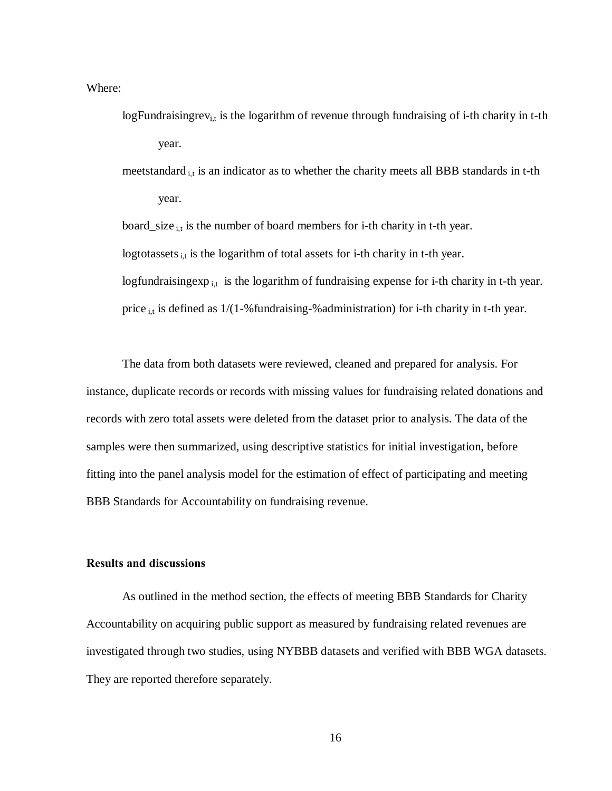Where:

- logFundraisingrev<sub>i,t</sub> is the logarithm of revenue through fundraising of i-th charity in t-th year.
- meetstandard i,t is an indicator as to whether the charity meets all BBB standards in t-th year.

board\_size  $_{i,t}$  is the number of board members for i-th charity in t-th year.

logtotassets  $_{i,t}$  is the logarithm of total assets for i-th charity in t-th year.

logfundraising exp<sub>it</sub> is the logarithm of fundraising expense for i-th charity in t-th year.

price  $_{i,t}$  is defined as 1/(1-% fundraising-% administration) for i-th charity in t-th year.

The data from both datasets were reviewed, cleaned and prepared for analysis. For instance, duplicate records or records with missing values for fundraising related donations and records with zero total assets were deleted from the dataset prior to analysis. The data of the samples were then summarized, using descriptive statistics for initial investigation, before fitting into the panel analysis model for the estimation of effect of participating and meeting BBB Standards for Accountability on fundraising revenue.

## **Results and discussions**

As outlined in the method section, the effects of meeting BBB Standards for Charity Accountability on acquiring public support as measured by fundraising related revenues are investigated through two studies, using NYBBB datasets and verified with BBB WGA datasets. They are reported therefore separately.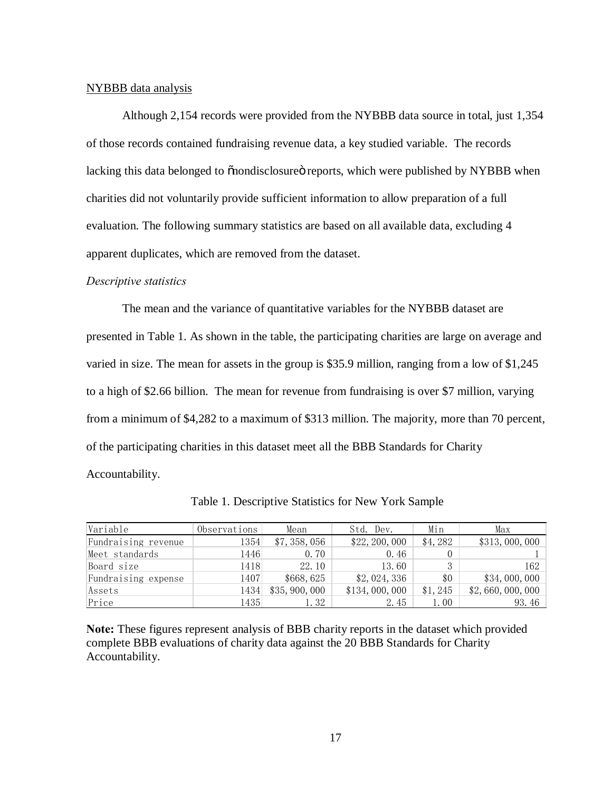#### NYBBB data analysis

Although 2,154 records were provided from the NYBBB data source in total, just 1,354 of those records contained fundraising revenue data, a key studied variable. The records lacking this data belonged to  $\ddot{\text{o}}$  nondisclosure operator reports, which were published by NYBBB when charities did not voluntarily provide sufficient information to allow preparation of a full evaluation. The following summary statistics are based on all available data, excluding 4 apparent duplicates, which are removed from the dataset.

## *Descriptive statistics*

The mean and the variance of quantitative variables for the NYBBB dataset are presented in Table 1. As shown in the table, the participating charities are large on average and varied in size. The mean for assets in the group is \$35.9 million, ranging from a low of \$1,245 to a high of \$2.66 billion. The mean for revenue from fundraising is over \$7 million, varying from a minimum of \$4,282 to a maximum of \$313 million. The majority, more than 70 percent, of the participating charities in this dataset meet all the BBB Standards for Charity Accountability.

| Variable            | Observations | Mean           | Std. Dev.      | Min      | Max             |
|---------------------|--------------|----------------|----------------|----------|-----------------|
| Fundraising revenue | 1354         | \$7,358,056    | \$22, 200, 000 | \$4,282  | \$313,000,000   |
| Meet standards      | 1446         | 0.70           | 0.46           |          |                 |
| Board size          | 1418         | 22.10          | 13.60          |          | 162             |
| Fundraising expense | 1407         | \$668,625      | \$2,024,336    | \$0      | \$34,000,000    |
| Assets              | 1434         | \$35, 900, 000 | \$134,000,000  | \$1, 245 | \$2,660,000,000 |
| Price               | 1435         | t. 32          | 2.45           | 1.00     | 93.46           |

Table 1. Descriptive Statistics for New York Sample

**Note:** These figures represent analysis of BBB charity reports in the dataset which provided complete BBB evaluations of charity data against the 20 BBB Standards for Charity Accountability.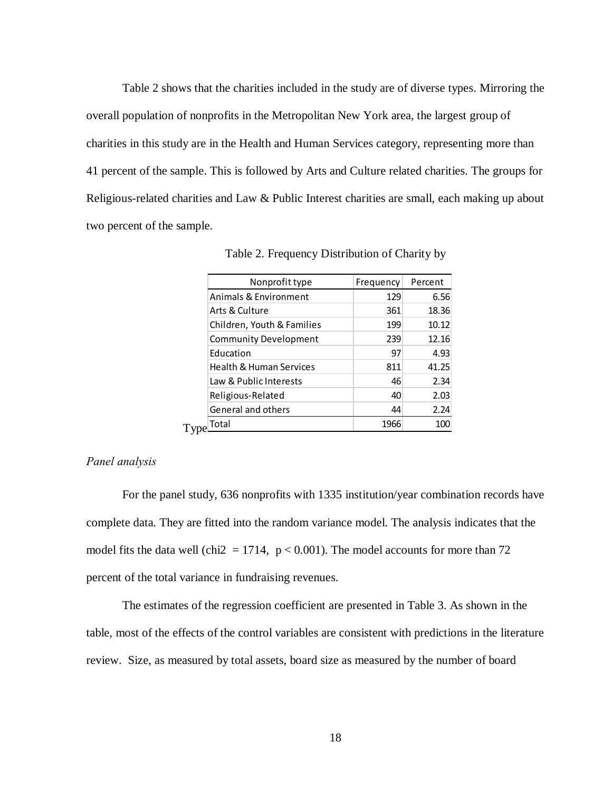Table 2 shows that the charities included in the study are of diverse types. Mirroring the overall population of nonprofits in the Metropolitan New York area, the largest group of charities in this study are in the Health and Human Services category, representing more than 41 percent of the sample. This is followed by Arts and Culture related charities. The groups for Religious-related charities and Law & Public Interest charities are small, each making up about two percent of the sample.

| Nonprofit type                     | Frequency | Percent |
|------------------------------------|-----------|---------|
| Animals & Environment              | 129       | 6.56    |
| Arts & Culture                     | 361       | 18.36   |
| Children, Youth & Families         | 199       | 10.12   |
| <b>Community Development</b>       | 239       | 12.16   |
| Education                          | 97        | 4.93    |
| <b>Health &amp; Human Services</b> | 811       | 41.25   |
| Law & Public Interests             | 46        | 2.34    |
| Religious-Related                  | 40        | 2.03    |
| General and others                 | 44        | 2.24    |
| Total                              | 1966      | 100     |

Table 2. Frequency Distribution of Charity by

## *Panel analysis*

For the panel study, 636 nonprofits with 1335 institution/year combination records have complete data. They are fitted into the random variance model. The analysis indicates that the model fits the data well (chi2 = 1714,  $p < 0.001$ ). The model accounts for more than 72 percent of the total variance in fundraising revenues.

The estimates of the regression coefficient are presented in Table 3. As shown in the table, most of the effects of the control variables are consistent with predictions in the literature review. Size, as measured by total assets, board size as measured by the number of board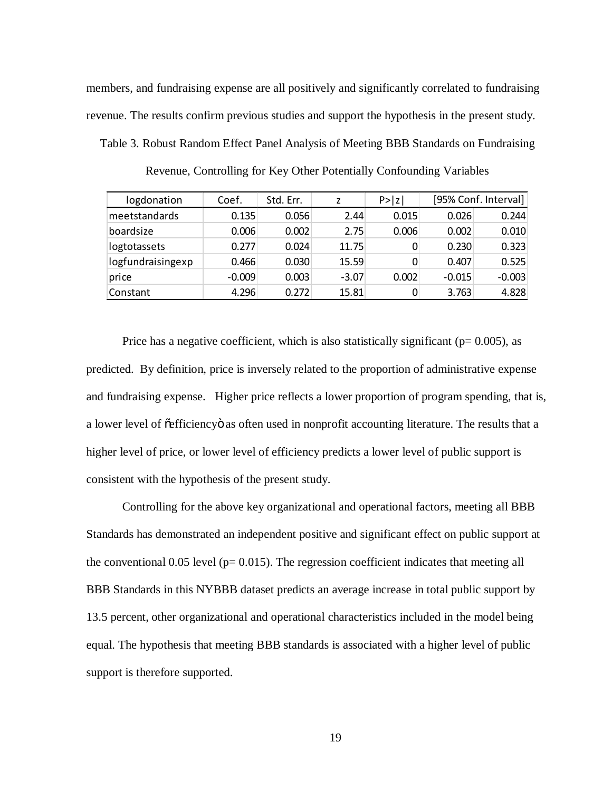members, and fundraising expense are all positively and significantly correlated to fundraising revenue. The results confirm previous studies and support the hypothesis in the present study. Table 3. Robust Random Effect Panel Analysis of Meeting BBB Standards on Fundraising

| logdonation       | Coef.    | Std. Err. | 7       | P >  z |          | [95% Conf. Interval] |
|-------------------|----------|-----------|---------|--------|----------|----------------------|
| meetstandards     | 0.135    | 0.056     | 2.44    | 0.015  | 0.026    | 0.244                |
| boardsize         | 0.006    | 0.002     | 2.75    | 0.006  | 0.002    | 0.010                |
| logtotassets      | 0.277    | 0.024     | 11.75   |        | 0.230    | 0.323                |
| logfundraisingexp | 0.466    | 0.030     | 15.59   |        | 0.407    | 0.525                |
| price             | $-0.009$ | 0.003     | $-3.07$ | 0.002  | $-0.015$ | $-0.003$             |
| Constant          | 4.296    | 0.272     | 15.81   |        | 3.763    | 4.828                |

Revenue, Controlling for Key Other Potentially Confounding Variables

Price has a negative coefficient, which is also statistically significant ( $p= 0.005$ ), as predicted. By definition, price is inversely related to the proportion of administrative expense and fundraising expense. Higher price reflects a lower proportion of program spending, that is, a lower level of  $\tilde{\text{c}}$ efficiency as often used in nonprofit accounting literature. The results that a higher level of price, or lower level of efficiency predicts a lower level of public support is consistent with the hypothesis of the present study.

Controlling for the above key organizational and operational factors, meeting all BBB Standards has demonstrated an independent positive and significant effect on public support at the conventional 0.05 level ( $p= 0.015$ ). The regression coefficient indicates that meeting all BBB Standards in this NYBBB dataset predicts an average increase in total public support by 13.5 percent, other organizational and operational characteristics included in the model being equal. The hypothesis that meeting BBB standards is associated with a higher level of public support is therefore supported.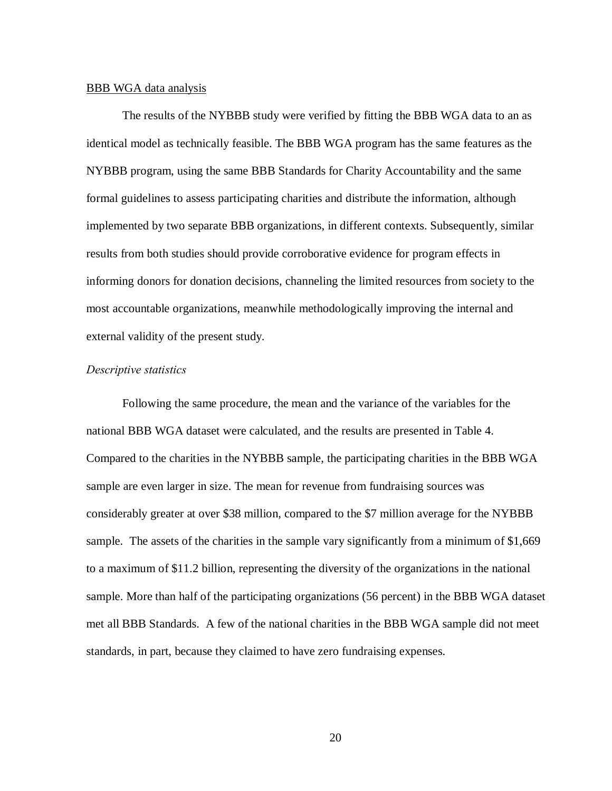#### BBB WGA data analysis

The results of the NYBBB study were verified by fitting the BBB WGA data to an as identical model as technically feasible. The BBB WGA program has the same features as the NYBBB program, using the same BBB Standards for Charity Accountability and the same formal guidelines to assess participating charities and distribute the information, although implemented by two separate BBB organizations, in different contexts. Subsequently, similar results from both studies should provide corroborative evidence for program effects in informing donors for donation decisions, channeling the limited resources from society to the most accountable organizations, meanwhile methodologically improving the internal and external validity of the present study.

## *Descriptive statistics*

Following the same procedure, the mean and the variance of the variables for the national BBB WGA dataset were calculated, and the results are presented in Table 4. Compared to the charities in the NYBBB sample, the participating charities in the BBB WGA sample are even larger in size. The mean for revenue from fundraising sources was considerably greater at over \$38 million, compared to the \$7 million average for the NYBBB sample. The assets of the charities in the sample vary significantly from a minimum of \$1,669 to a maximum of \$11.2 billion, representing the diversity of the organizations in the national sample. More than half of the participating organizations (56 percent) in the BBB WGA dataset met all BBB Standards. A few of the national charities in the BBB WGA sample did not meet standards, in part, because they claimed to have zero fundraising expenses.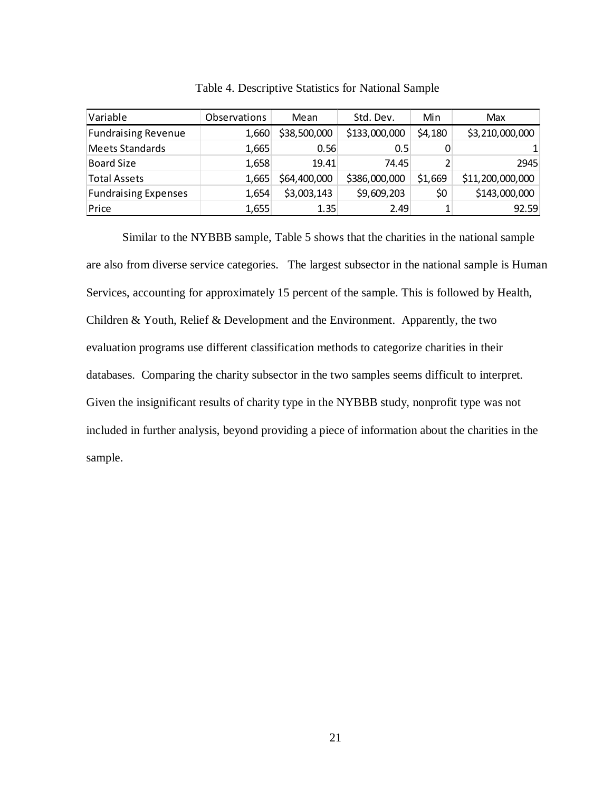| Variable                    | <b>Observations</b> | Mean         | Std. Dev.     | Min     | Max              |
|-----------------------------|---------------------|--------------|---------------|---------|------------------|
| <b>Fundraising Revenue</b>  | 1,660               | \$38,500,000 | \$133,000,000 | \$4,180 | \$3,210,000,000  |
| <b>Meets Standards</b>      | 1,665               | 0.56         | 0.5           |         |                  |
| <b>Board Size</b>           | 1,658               | 19.41        | 74.45         |         | 2945             |
| <b>Total Assets</b>         | 1,665               | \$64,400,000 | \$386,000,000 | \$1,669 | \$11,200,000,000 |
| <b>Fundraising Expenses</b> | 1,654               | \$3,003,143  | \$9,609,203   | \$0     | \$143,000,000    |
| Price                       | 1,655               | 1.35         | 2.49          |         | 92.59            |

Table 4. Descriptive Statistics for National Sample

Similar to the NYBBB sample, Table 5 shows that the charities in the national sample are also from diverse service categories. The largest subsector in the national sample is Human Services, accounting for approximately 15 percent of the sample. This is followed by Health, Children & Youth, Relief & Development and the Environment. Apparently, the two evaluation programs use different classification methods to categorize charities in their databases. Comparing the charity subsector in the two samples seems difficult to interpret. Given the insignificant results of charity type in the NYBBB study, nonprofit type was not included in further analysis, beyond providing a piece of information about the charities in the sample.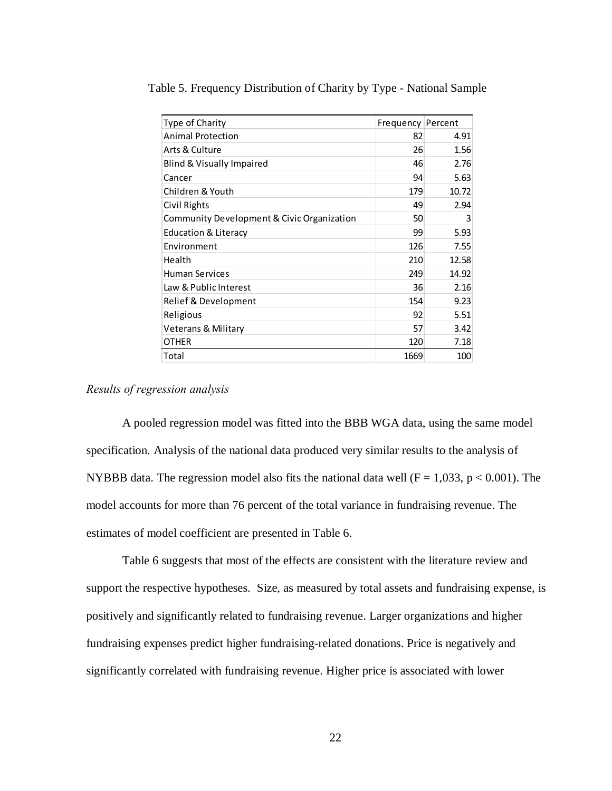| Type of Charity                            | Frequency Percent |       |
|--------------------------------------------|-------------------|-------|
| <b>Animal Protection</b>                   | 82                | 4.91  |
| Arts & Culture                             | 26                | 1.56  |
| Blind & Visually Impaired                  | 46                | 2.76  |
| Cancer                                     | 94                | 5.63  |
| Children & Youth                           | 179               | 10.72 |
| Civil Rights                               | 49                | 2.94  |
| Community Development & Civic Organization | 50                | 3     |
| <b>Education &amp; Literacy</b>            | 99                | 5.93  |
| Environment                                | 126               | 7.55  |
| Health                                     | 210               | 12.58 |
| <b>Human Services</b>                      | 249               | 14.92 |
| Law & Public Interest                      | 36                | 2.16  |
| Relief & Development                       | 154               | 9.23  |
| Religious                                  | 92                | 5.51  |
| Veterans & Military                        | 57                | 3.42  |
| OTHER                                      | 120               | 7.18  |
| Total                                      | 1669              | 100   |

Table 5. Frequency Distribution of Charity by Type - National Sample

## *Results of regression analysis*

A pooled regression model was fitted into the BBB WGA data, using the same model specification. Analysis of the national data produced very similar results to the analysis of NYBBB data. The regression model also fits the national data well ( $F = 1,033$ ,  $p < 0.001$ ). The model accounts for more than 76 percent of the total variance in fundraising revenue. The estimates of model coefficient are presented in Table 6.

Table 6 suggests that most of the effects are consistent with the literature review and support the respective hypotheses. Size, as measured by total assets and fundraising expense, is positively and significantly related to fundraising revenue. Larger organizations and higher fundraising expenses predict higher fundraising-related donations. Price is negatively and significantly correlated with fundraising revenue. Higher price is associated with lower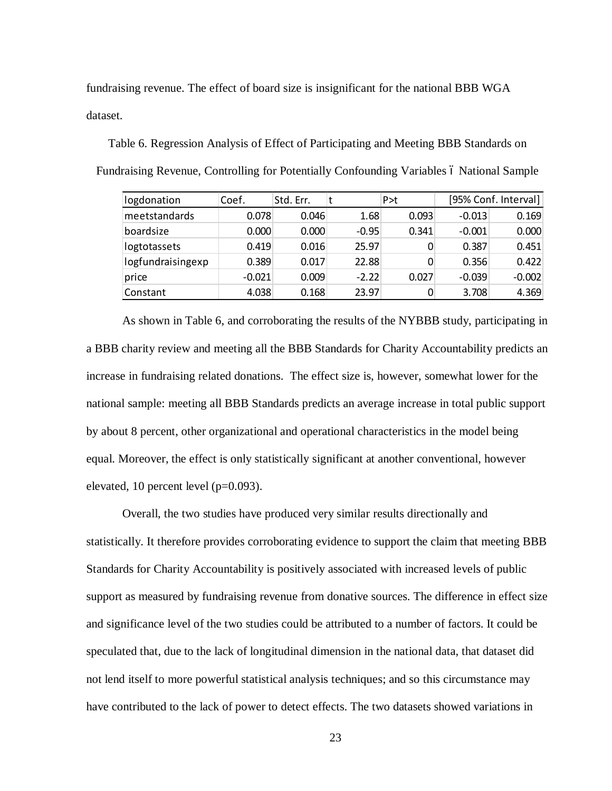fundraising revenue. The effect of board size is insignificant for the national BBB WGA dataset.

Table 6. Regression Analysis of Effect of Participating and Meeting BBB Standards on Fundraising Revenue, Controlling for Potentially Confounding Variables 6 National Sample

| logdonation       | Coef.    | Std. Err. |         | P > t |          | [95% Conf. Interval] |
|-------------------|----------|-----------|---------|-------|----------|----------------------|
| meetstandards     | 0.078    | 0.046     | 1.68    | 0.093 | $-0.013$ | 0.169                |
| boardsize         | 0.000    | 0.000     | $-0.95$ | 0.341 | $-0.001$ | 0.000                |
| logtotassets      | 0.419    | 0.016     | 25.97   |       | 0.387    | 0.451                |
| logfundraisingexp | 0.389    | 0.017     | 22.88   |       | 0.356    | 0.422                |
| price             | $-0.021$ | 0.009     | $-2.22$ | 0.027 | $-0.039$ | $-0.002$             |
| Constant          | 4.038    | 0.168     | 23.97   |       | 3.708    | 4.369                |

As shown in Table 6, and corroborating the results of the NYBBB study, participating in a BBB charity review and meeting all the BBB Standards for Charity Accountability predicts an increase in fundraising related donations. The effect size is, however, somewhat lower for the national sample: meeting all BBB Standards predicts an average increase in total public support by about 8 percent, other organizational and operational characteristics in the model being equal. Moreover, the effect is only statistically significant at another conventional, however elevated, 10 percent level (p=0.093).

Overall, the two studies have produced very similar results directionally and statistically. It therefore provides corroborating evidence to support the claim that meeting BBB Standards for Charity Accountability is positively associated with increased levels of public support as measured by fundraising revenue from donative sources. The difference in effect size and significance level of the two studies could be attributed to a number of factors. It could be speculated that, due to the lack of longitudinal dimension in the national data, that dataset did not lend itself to more powerful statistical analysis techniques; and so this circumstance may have contributed to the lack of power to detect effects. The two datasets showed variations in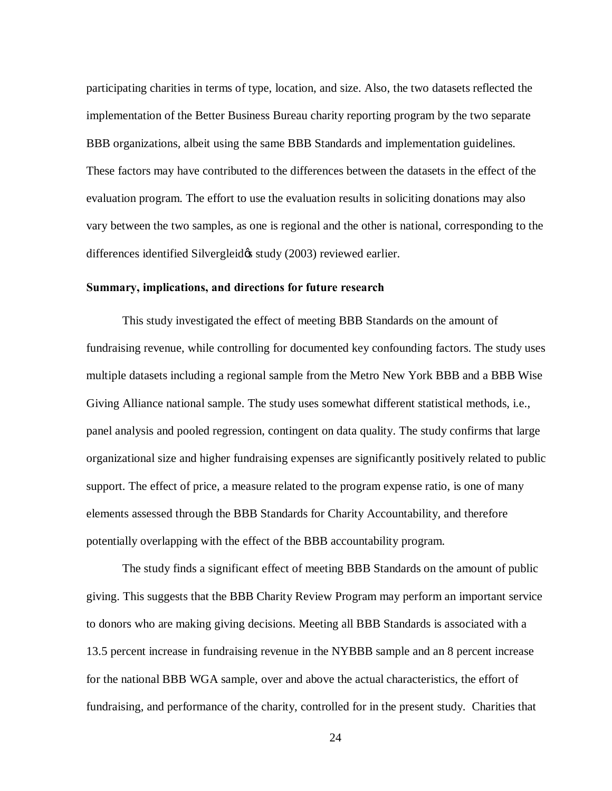participating charities in terms of type, location, and size. Also, the two datasets reflected the implementation of the Better Business Bureau charity reporting program by the two separate BBB organizations, albeit using the same BBB Standards and implementation guidelines. These factors may have contributed to the differences between the datasets in the effect of the evaluation program. The effort to use the evaluation results in soliciting donations may also vary between the two samples, as one is regional and the other is national, corresponding to the differences identified Silvergleid tstudy (2003) reviewed earlier.

## **Summary, implications, and directions for future research**

This study investigated the effect of meeting BBB Standards on the amount of fundraising revenue, while controlling for documented key confounding factors. The study uses multiple datasets including a regional sample from the Metro New York BBB and a BBB Wise Giving Alliance national sample. The study uses somewhat different statistical methods, i.e., panel analysis and pooled regression, contingent on data quality. The study confirms that large organizational size and higher fundraising expenses are significantly positively related to public support. The effect of price, a measure related to the program expense ratio, is one of many elements assessed through the BBB Standards for Charity Accountability, and therefore potentially overlapping with the effect of the BBB accountability program.

The study finds a significant effect of meeting BBB Standards on the amount of public giving. This suggests that the BBB Charity Review Program may perform an important service to donors who are making giving decisions. Meeting all BBB Standards is associated with a 13.5 percent increase in fundraising revenue in the NYBBB sample and an 8 percent increase for the national BBB WGA sample, over and above the actual characteristics, the effort of fundraising, and performance of the charity, controlled for in the present study. Charities that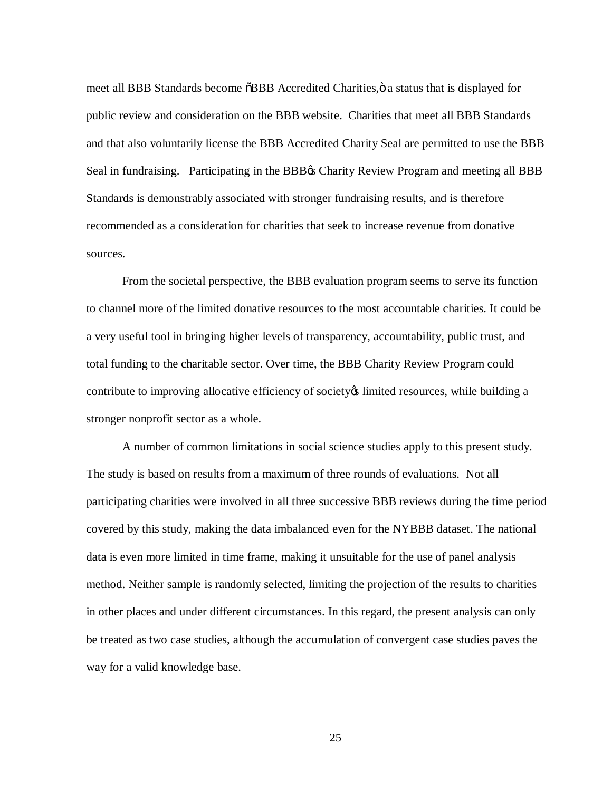meet all BBB Standards become  $\delta$ BBB Accredited Charities,  $\ddot{o}$  a status that is displayed for public review and consideration on the BBB website. Charities that meet all BBB Standards and that also voluntarily license the BBB Accredited Charity Seal are permitted to use the BBB Seal in fundraising. Participating in the BBB<sub>®</sub> Charity Review Program and meeting all BBB Standards is demonstrably associated with stronger fundraising results, and is therefore recommended as a consideration for charities that seek to increase revenue from donative sources.

From the societal perspective, the BBB evaluation program seems to serve its function to channel more of the limited donative resources to the most accountable charities. It could be a very useful tool in bringing higher levels of transparency, accountability, public trust, and total funding to the charitable sector. Over time, the BBB Charity Review Program could contribute to improving allocative efficiency of society of limited resources, while building a stronger nonprofit sector as a whole.

A number of common limitations in social science studies apply to this present study. The study is based on results from a maximum of three rounds of evaluations. Not all participating charities were involved in all three successive BBB reviews during the time period covered by this study, making the data imbalanced even for the NYBBB dataset. The national data is even more limited in time frame, making it unsuitable for the use of panel analysis method. Neither sample is randomly selected, limiting the projection of the results to charities in other places and under different circumstances. In this regard, the present analysis can only be treated as two case studies, although the accumulation of convergent case studies paves the way for a valid knowledge base.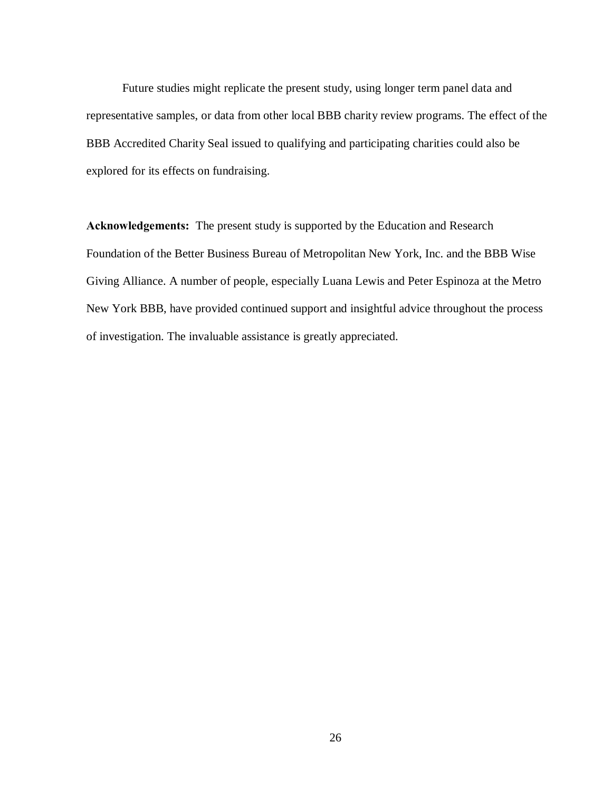Future studies might replicate the present study, using longer term panel data and representative samples, or data from other local BBB charity review programs. The effect of the BBB Accredited Charity Seal issued to qualifying and participating charities could also be explored for its effects on fundraising.

**Acknowledgements:** The present study is supported by the Education and Research Foundation of the Better Business Bureau of Metropolitan New York, Inc. and the BBB Wise Giving Alliance. A number of people, especially Luana Lewis and Peter Espinoza at the Metro New York BBB, have provided continued support and insightful advice throughout the process of investigation. The invaluable assistance is greatly appreciated.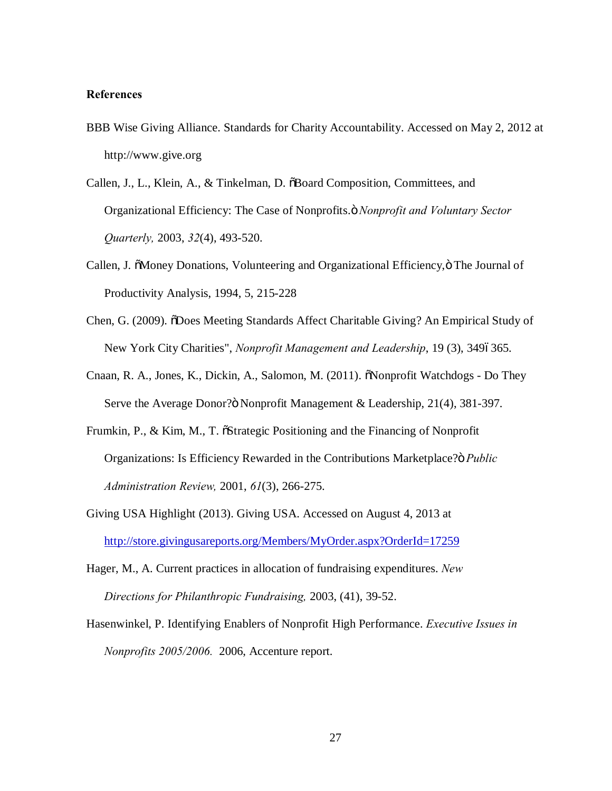## **References**

- BBB Wise Giving Alliance. Standards for Charity Accountability. Accessed on May 2, 2012 at http://www.give.org
- Callen, J., L., Klein, A., & Tinkelman, D.  $\delta$ Board Composition, Committees, and Organizational Efficiency: The Case of Nonprofits." *Nonprofit and Voluntary Sector Quarterly,* 2003, *32*(4), 493-520.
- Callen, J.  $\delta$ Money Donations, Volunteering and Organizational Efficiency,  $\delta$  The Journal of Productivity Analysis, 1994, 5, 215-228
- Chen, G. (2009).  $\delta$ Does Meeting Standards Affect Charitable Giving? An Empirical Study of New York City Charities", *Nonprofit Management and Leadership*, 19 (3), 3496365.
- Cnaan, R. A., Jones, K., Dickin, A., Salomon, M. (2011).  $\delta$ Nonprofit Watchdogs Do They Serve the Average Donor? Nonprofit Management & Leadership, 21(4), 381-397.
- Frumkin, P., & Kim, M., T.  $\tilde{\sigma}$ Strategic Positioning and the Financing of Nonprofit Organizations: Is Efficiency Rewarded in the Contributions Marketplace?" *Public Administration Review,* 2001, *61*(3), 266-275.
- Giving USA Highlight (2013). Giving USA. Accessed on August 4, 2013 at <http://store.givingusareports.org/Members/MyOrder.aspx?OrderId=17259>
- Hager, M., A. Current practices in allocation of fundraising expenditures. *New Directions for Philanthropic Fundraising,* 2003, (41), 39-52.
- Hasenwinkel, P. Identifying Enablers of Nonprofit High Performance. *Executive Issues in Nonprofits 2005/2006.* 2006, Accenture report.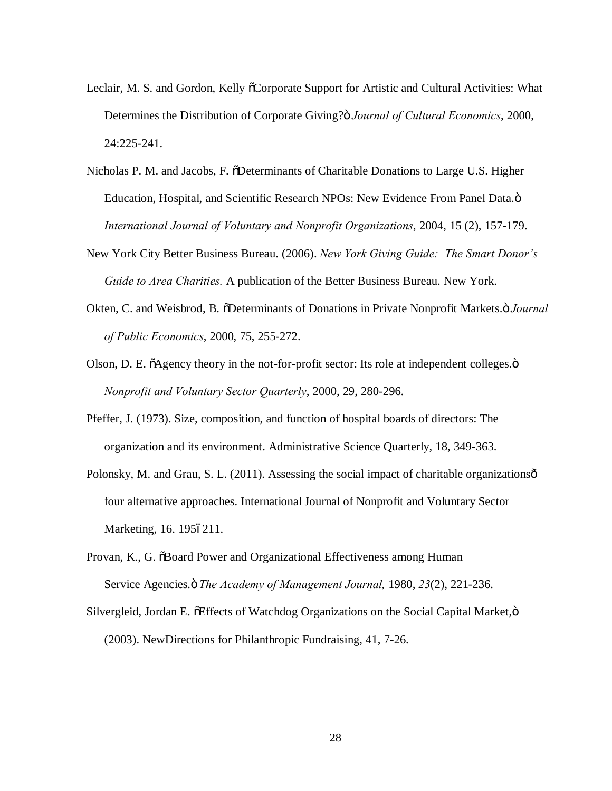- Leclair, M. S. and Gordon, Kelly  $\tilde{C}$ Corporate Support for Artistic and Cultural Activities: What Determines the Distribution of Corporate Giving?" *Journal of Cultural Economics*, 2000, 24:225-241.
- Nicholas P. M. and Jacobs, F.  $\ddot{\text{D}}$ Determinants of Charitable Donations to Large U.S. Higher Education, Hospital, and Scientific Research NPOs: New Evidence From Panel Data. $\ddot{o}$ *International Journal of Voluntary and Nonprofit Organizations*, 2004, 15 (2), 157-179.
- New York City Better Business Bureau. (2006). *New York Giving Guide: The Smart Donor's Guide to Area Charities.* A publication of the Better Business Bureau. New York.
- Okten, C. and Weisbrod, B. "Determinants of Donations in Private Nonprofit Markets." *Journal of Public Economics*, 2000, 75, 255-272.
- Olson, D. E.  $\tilde{o}$ Agency theory in the not-for-profit sector: Its role at independent colleges. $\ddot{o}$ *Nonprofit and Voluntary Sector Quarterly*, 2000, 29, 280-296.
- Pfeffer, J. (1973). Size, composition, and function of hospital boards of directors: The organization and its environment. Administrative Science Quarterly, 18, 349-363.
- Polonsky, M. and Grau, S. L. (2011). Assessing the social impact of charitable organizations  $\hat{\sigma}$ four alternative approaches. International Journal of Nonprofit and Voluntary Sector Marketing, 16. 1956211.
- Provan, K., G.  $\delta$ Board Power and Organizational Effectiveness among Human Service Agencies." *The Academy of Management Journal,* 1980, *23*(2), 221-236.
- Silvergleid, Jordan E. õEffects of Watchdog Organizations on the Social Capital Market, ö (2003). NewDirections for Philanthropic Fundraising, 41, 7-26.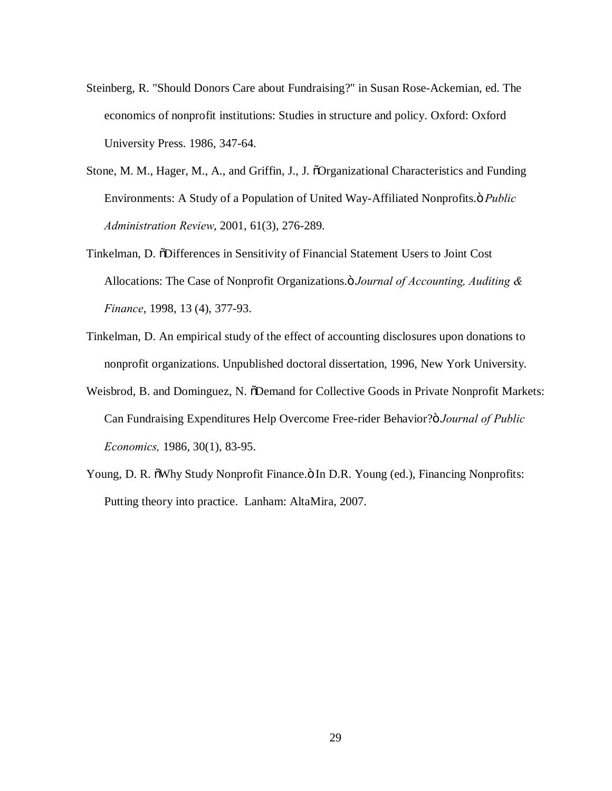- Steinberg, R. "Should Donors Care about Fundraising?" in Susan Rose-Ackemian, ed. The economics of nonprofit institutions: Studies in structure and policy. Oxford: Oxford University Press. 1986, 347-64.
- Stone, M. M., Hager, M., A., and Griffin, J., J.  $\delta$ Organizational Characteristics and Funding Environments: A Study of a Population of United Way-Affiliated Nonprofits." *Public Administration Review*, 2001, 61(3), 276-289.
- Tinkelman, D.  $\ddot{\text{OD}}$ ifferences in Sensitivity of Financial Statement Users to Joint Cost Allocations: The Case of Nonprofit Organizations." *Journal of Accounting, Auditing & Finance*, 1998, 13 (4), 377-93.
- Tinkelman, D. An empirical study of the effect of accounting disclosures upon donations to nonprofit organizations. Unpublished doctoral dissertation, 1996, New York University.
- Weisbrod, B. and Dominguez, N.  $\delta$ Demand for Collective Goods in Private Nonprofit Markets: Can Fundraising Expenditures Help Overcome Free-rider Behavior? *<i>Journal of Public Economics,* 1986, 30(1), 83-95.
- Young, D. R.  $\delta$ Why Study Nonprofit Finance. $\delta$  In D.R. Young (ed.), Financing Nonprofits: Putting theory into practice. Lanham: AltaMira, 2007.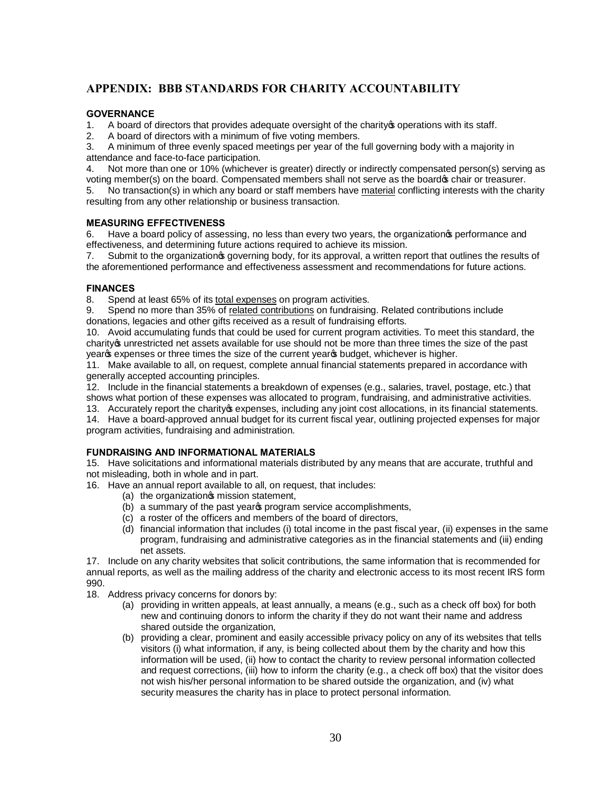## **APPENDIX: BBB STANDARDS FOR CHARITY ACCOUNTABILITY**

## **GOVERNANCE**

- 1. A board of directors that provides adequate oversight of the charity a operations with its staff.
- 2. A board of directors with a minimum of five voting members.

3. A minimum of three evenly spaced meetings per year of the full governing body with a majority in attendance and face-to-face participation.

4. Not more than one or 10% (whichever is greater) directly or indirectly compensated person(s) serving as voting member(s) on the board. Compensated members shall not serve as the board  $\phi$  chair or treasurer.

5. No transaction(s) in which any board or staff members have material conflicting interests with the charity resulting from any other relationship or business transaction.

#### **MEASURING EFFECTIVENESS**

6. Have a board policy of assessing, no less than every two years, the organization performance and effectiveness, and determining future actions required to achieve its mission.

7. Submit to the organization  $\circ$  governing body, for its approval, a written report that outlines the results of the aforementioned performance and effectiveness assessment and recommendations for future actions.

## **FINANCES**

8. Spend at least 65% of its total expenses on program activities.

9. Spend no more than 35% of related contributions on fundraising. Related contributions include donations, legacies and other gifts received as a result of fundraising efforts.

10. Avoid accumulating funds that could be used for current program activities. To meet this standard, the charity's unrestricted net assets available for use should not be more than three times the size of the past year of expenses or three times the size of the current year of budget, whichever is higher.

11. Make available to all, on request, complete annual financial statements prepared in accordance with generally accepted accounting principles.

12. Include in the financial statements a breakdown of expenses (e.g., salaries, travel, postage, etc.) that shows what portion of these expenses was allocated to program, fundraising, and administrative activities.

13. Accurately report the charity of expenses, including any joint cost allocations, in its financial statements. 14. Have a board-approved annual budget for its current fiscal year, outlining projected expenses for major program activities, fundraising and administration.

#### **FUNDRAISING AND INFORMATIONAL MATERIALS**

15. Have solicitations and informational materials distributed by any means that are accurate, truthful and not misleading, both in whole and in part.

- 16. Have an annual report available to all, on request, that includes:
	- (a) the organizations mission statement,
	- (b) a summary of the past years program service accomplishments,
	- (c) a roster of the officers and members of the board of directors,
	- (d) financial information that includes (i) total income in the past fiscal year, (ii) expenses in the same program, fundraising and administrative categories as in the financial statements and (iii) ending net assets.

17. Include on any charity websites that solicit contributions, the same information that is recommended for annual reports, as well as the mailing address of the charity and electronic access to its most recent IRS form 990.

- 18. Address privacy concerns for donors by:
	- (a) providing in written appeals, at least annually, a means (e.g., such as a check off box) for both new and continuing donors to inform the charity if they do not want their name and address shared outside the organization,
	- (b) providing a clear, prominent and easily accessible privacy policy on any of its websites that tells visitors (i) what information, if any, is being collected about them by the charity and how this information will be used, (ii) how to contact the charity to review personal information collected and request corrections, (iii) how to inform the charity (e.g., a check off box) that the visitor does not wish his/her personal information to be shared outside the organization, and (iv) what security measures the charity has in place to protect personal information.